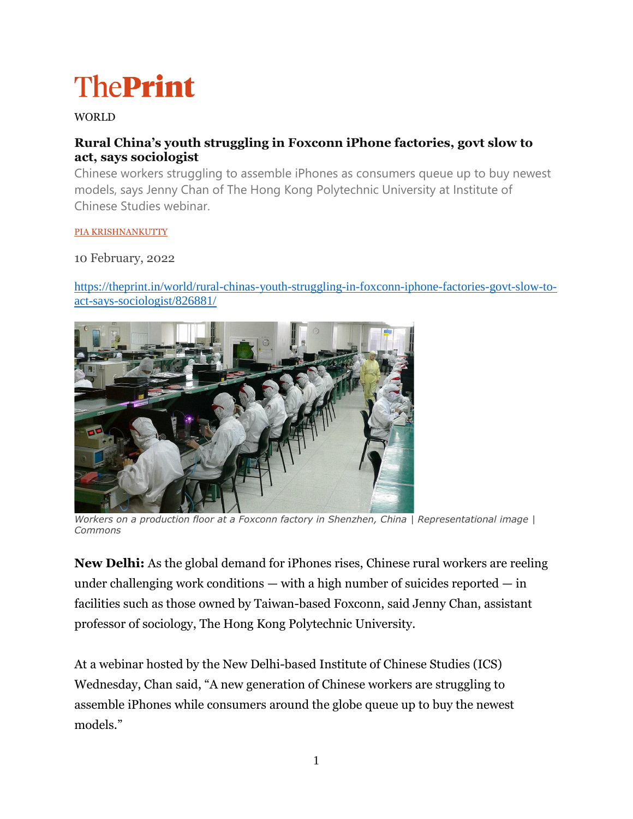# **ThePrint**

## WORLD

# **Rural China's youth struggling in Foxconn iPhone factories, govt slow to act, says sociologist**

Chinese workers struggling to assemble iPhones as consumers queue up to buy newest models, says Jenny Chan of The Hong Kong Polytechnic University at Institute of Chinese Studies webinar.

#### [PIA KRISHNANKUTTY](https://theprint.in/author/pia-krishnankutty/)

## 10 February, 2022

[https://theprint.in/world/rural-chinas-youth-struggling-in-foxconn-iphone-factories-govt-slow-to](https://theprint.in/world/rural-chinas-youth-struggling-in-foxconn-iphone-factories-govt-slow-to-act-says-sociologist/826881/)[act-says-sociologist/826881/](https://theprint.in/world/rural-chinas-youth-struggling-in-foxconn-iphone-factories-govt-slow-to-act-says-sociologist/826881/)



*Workers on a production floor at a Foxconn factory in Shenzhen, China | Representational image | Commons*

**New Delhi:** As the global demand for iPhones rises, Chinese rural workers are reeling under challenging work conditions  $-$  with a high number of suicides reported  $-$  in facilities such as those owned by Taiwan-based Foxconn, said Jenny Chan, assistant professor of sociology, The Hong Kong Polytechnic University.

At a webinar hosted by the New Delhi-based Institute of Chinese Studies (ICS) Wednesday, Chan said, "A new generation of Chinese workers are struggling to assemble iPhones while consumers around the globe queue up to buy the newest models."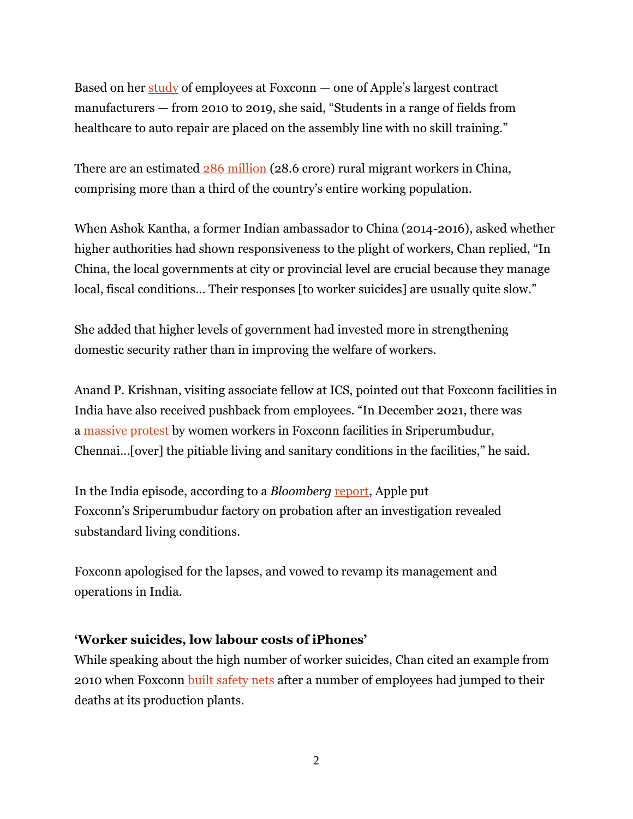Based on her [study](https://www.researchgate.net/publication/343539769_Dying_for_an_iPhone_Apple_Foxconn_and_the_Lives_of_China) of employees at Foxconn — one of Apple's largest contract manufacturers — from 2010 to 2019, she said, "Students in a range of fields from healthcare to auto repair are placed on the assembly line with no skill training."

There are an estimated [286 million](https://clb.org.hk/content/migrant-workers-and-their-children) (28.6 crore) rural migrant workers in China, comprising more than a third of the country's entire working population.

When Ashok Kantha, a former Indian ambassador to China (2014-2016), asked whether higher authorities had shown responsiveness to the plight of workers, Chan replied, "In China, the local governments at city or provincial level are crucial because they manage local, fiscal conditions... Their responses [to worker suicides] are usually quite slow."

She added that higher levels of government had invested more in strengthening domestic security rather than in improving the welfare of workers.

Anand P. Krishnan, visiting associate fellow at ICS, pointed out that Foxconn facilities in India have also received pushback from employees. "In December 2021, there was a [massive protest](https://theprint.in/tech/apple-puts-iphone-assembler-in-tamil-nadu-on-probation-for-labour-violations/790493/) by women workers in Foxconn facilities in Sriperumbudur, Chennai…[over] the pitiable living and sanitary conditions in the facilities," he said.

In the India episode, according to a *Bloomberg* [report,](https://theprint.in/tech/apple-puts-iphone-assembler-in-tamil-nadu-on-probation-for-labour-violations/790493/) Apple put Foxconn's Sriperumbudur factory on probation after an investigation revealed substandard living conditions.

Foxconn apologised for the lapses, and vowed to revamp its management and operations in India.

## **'Worker suicides, low labour costs of iPhones'**

While speaking about the high number of worker suicides, Chan cited an example from 2010 when Foxconn [built safety nets](https://www.wsj.com/articles/BL-CJB-9896) after a number of employees had jumped to their deaths at its production plants.